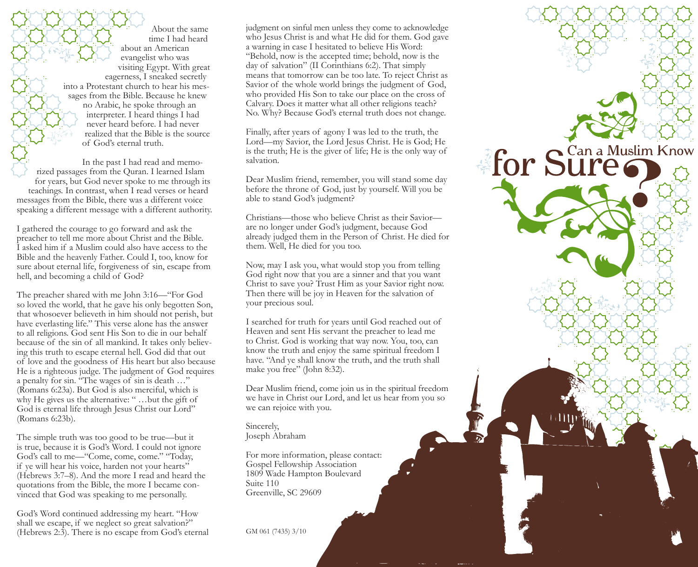About the same time I had heard about an American evangelist who was visiting Egypt. With great eagerness, I sneaked secretly into a Protestant church to hear his messages from the Bible. Because he knew no Arabic, he spoke through an interpreter. I heard things I had never heard before. I had never realized that the Bible is the source of God's eternal truth.

In the past I had read and memorized passages from the Quran. I learned Islam for years, but God never spoke to me through its teachings. In contrast, when I read verses or heard messages from the Bible, there was a different voice speaking a different message with a different authority.

I gathered the courage to go forward and ask the preacher to tell me more about Christ and the Bible. I asked him if a Muslim could also have access to the Bible and the heavenly Father. Could I, too, know for sure about eternal life, forgiveness of sin, escape from hell, and becoming a child of God?

The preacher shared with me John 3:16—"For God so loved the world, that he gave his only begotten Son, that whosoever believeth in him should not perish, but have everlasting life." This verse alone has the answer to all religions. God sent His Son to die in our behalf because of the sin of all mankind. It takes only believing this truth to escape eternal hell. God did that out of love and the goodness of His heart but also because He is a righteous judge. The judgment of God requires a penalty for sin. "The wages of sin is death …" (Romans 6:23a). But God is also merciful, which is why He gives us the alternative: " …but the gift of God is eternal life through Jesus Christ our Lord" (Romans 6:23b).

The simple truth was too good to be true—but it is true, because it is God's Word. I could not ignore God's call to me—"Come, come, come." "Today, if ye will hear his voice, harden not your hearts" (Hebrews 3:7–8). And the more I read and heard the quotations from the Bible, the more I became convinced that God was speaking to me personally.

God's Word continued addressing my heart. "How shall we escape, if we neglect so great salvation?" (Hebrews 2:3). There is no escape from God's eternal

judgment on sinful men unless they come to acknowledge who Jesus Christ is and what He did for them. God gave a warning in case I hesitated to believe His Word: "Behold, now is the accepted time; behold, now is the day of salvation" (II Corinthians 6:2). That simply means that tomorrow can be too late. To reject Christ as Savior of the whole world brings the judgment of God, who provided His Son to take our place on the cross of Calvary. Does it matter what all other religions teach? No. Why? Because God's eternal truth does not change.

Finally, after years of agony I was led to the truth, the Lord—my Savior, the Lord Jesus Christ. He is God; He is the truth; He is the giver of life; He is the only way of salvation.

**for Sure CALL** 

Dear Muslim friend, remember, you will stand some day before the throne of God, just by yourself. Will you be able to stand God's judgment?

Christians—those who believe Christ as their Savior are no longer under God's judgment, because God already judged them in the Person of Christ. He died for them. Well, He died for you too.

Now, may I ask you, what would stop you from telling God right now that you are a sinner and that you want Christ to save you? Trust Him as your Savior right now. Then there will be joy in Heaven for the salvation of your precious soul.

I searched for truth for years until God reached out of Heaven and sent His servant the preacher to lead me to Christ. God is working that way now. You, too, can know the truth and enjoy the same spiritual freedom I have. "And ye shall know the truth, and the truth shall make you free" (John 8:32).

Dear Muslim friend, come join us in the spiritual freedom we have in Christ our Lord, and let us hear from you so we can rejoice with you.

Sincerely, Joseph Abraham

For more information, please contact: Gospel Fellowship Association 1809 Wade Hampton Boulevard Suite 110 Greenville, SC 29609

GM 061 (7435) 3/10